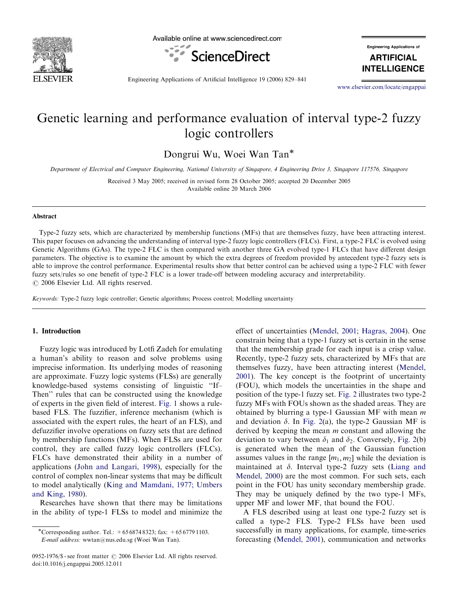

Available online at www.sciencedirect.com



**Engineering Applications of** 

**ARTIFICIAL INTELLIGENCE** 

Engineering Applications of Artificial Intelligence 19 (2006) 829–841

<www.elsevier.com/locate/engappai>

# Genetic learning and performance evaluation of interval type-2 fuzzy logic controllers

Dongrui Wu, Woei Wan Tan

Department of Electrical and Computer Engineering, National University of Singapore, 4 Engineering Drive 3, Singapore 117576, Singapore

Received 3 May 2005; received in revised form 28 October 2005; accepted 20 December 2005 Available online 20 March 2006

#### Abstract

Type-2 fuzzy sets, which are characterized by membership functions (MFs) that are themselves fuzzy, have been attracting interest. This paper focuses on advancing the understanding of interval type-2 fuzzy logic controllers (FLCs). First, a type-2 FLC is evolved using Genetic Algorithms (GAs). The type-2 FLC is then compared with another three GA evolved type-1 FLCs that have different design parameters. The objective is to examine the amount by which the extra degrees of freedom provided by antecedent type-2 fuzzy sets is able to improve the control performance. Experimental results show that better control can be achieved using a type-2 FLC with fewer fuzzy sets/rules so one benefit of type-2 FLC is a lower trade-off between modeling accuracy and interpretability.  $C$  2006 Elsevier Ltd. All rights reserved.

Keywords: Type-2 fuzzy logic controller; Genetic algorithms; Process control; Modelling uncertainty

#### 1. Introduction

Fuzzy logic was introduced by Lotfi Zadeh for emulating a human's ability to reason and solve problems using imprecise information. Its underlying modes of reasoning are approximate. Fuzzy logic systems (FLSs) are generally knowledge-based systems consisting of linguistic ''If– Then'' rules that can be constructed using the knowledge of experts in the given field of interest. [Fig. 1](#page-1-0) shows a rulebased FLS. The fuzzifier, inference mechanism (which is associated with the expert rules, the heart of an FLS), and defuzzifier involve operations on fuzzy sets that are defined by membership functions (MFs). When FLSs are used for control, they are called fuzzy logic controllers (FLCs). FLCs have demonstrated their ability in a number of applications ([John and Langari, 1998](#page-12-0)), especially for the control of complex non-linear systems that may be difficult to model analytically ([King and Mamdani, 1977; Umbers](#page-12-0) [and King, 1980](#page-12-0)).

Researches have shown that there may be limitations in the ability of type-1 FLSs to model and minimize the effect of uncertainties ([Mendel, 2001; Hagras, 2004](#page-12-0)). One constrain being that a type-1 fuzzy set is certain in the sense that the membership grade for each input is a crisp value. Recently, type-2 fuzzy sets, characterized by MFs that are themselves fuzzy, have been attracting interest ([Mendel,](#page-12-0) [2001](#page-12-0)). The key concept is the footprint of uncertainty (FOU), which models the uncertainties in the shape and position of the type-1 fuzzy set. [Fig. 2](#page-1-0) illustrates two type-2 fuzzy MFs with FOUs shown as the shaded areas. They are obtained by blurring a type-1 Gaussian MF with mean  $m$ and deviation  $\delta$ . In [Fig. 2\(](#page-1-0)a), the type-2 Gaussian MF is derived by keeping the mean  $m$  constant and allowing the deviation to vary between  $\delta_1$  and  $\delta_2$ . Conversely, [Fig. 2](#page-1-0)(b) is generated when the mean of the Gaussian function assumes values in the range  $[m_1, m_2]$  while the deviation is maintained at  $\delta$ . Interval type-2 fuzzy sets [\(Liang and](#page-12-0) [Mendel, 2000](#page-12-0)) are the most common. For such sets, each point in the FOU has unity secondary membership grade. They may be uniquely defined by the two type-1 MFs, upper MF and lower MF, that bound the FOU.

A FLS described using at least one type-2 fuzzy set is called a type-2 FLS. Type-2 FLSs have been used successfully in many applications, for example, time-series forecasting [\(Mendel, 2001\)](#page-12-0), communication and networks

<sup>\*</sup>Corresponding author. Tel.:  $+6568748323$ ; fax:  $+6567791103$ . E-mail address: wwtan@nus.edu.sg (Woei Wan Tan).

<sup>0952-1976/\$ -</sup> see front matter © 2006 Elsevier Ltd. All rights reserved. doi:10.1016/j.engappai.2005.12.011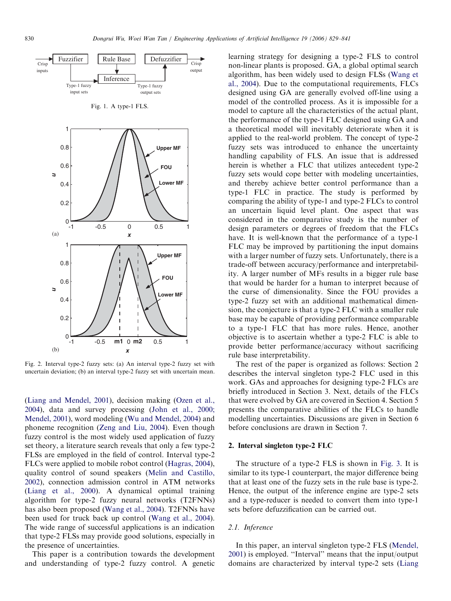<span id="page-1-0"></span>

Fig. 2. Interval type-2 fuzzy sets: (a) An interval type-2 fuzzy set with uncertain deviation; (b) an interval type-2 fuzzy set with uncertain mean.

[\(Liang and Mendel, 2001](#page-12-0)), decision making ([Ozen et al.,](#page-12-0) [2004\)](#page-12-0), data and survey processing [\(John et al., 2000;](#page-12-0) [Mendel, 2001](#page-12-0)), word modeling [\(Wu and Mendel, 2004\)](#page-12-0) and phoneme recognition [\(Zeng and Liu, 2004](#page-12-0)). Even though fuzzy control is the most widely used application of fuzzy set theory, a literature search reveals that only a few type-2 FLSs are employed in the field of control. Interval type-2 FLCs were applied to mobile robot control ([Hagras, 2004\)](#page-12-0), quality control of sound speakers ([Melin and Castillo,](#page-12-0) [2002\)](#page-12-0), connection admission control in ATM networks [\(Liang et al., 2000](#page-12-0)). A dynamical optimal training algorithm for type-2 fuzzy neural networks (T2FNNs) has also been proposed ([Wang et al., 2004](#page-12-0)). T2FNNs have been used for truck back up control ([Wang et al., 2004\)](#page-12-0). The wide range of successful applications is an indication that type-2 FLSs may provide good solutions, especially in the presence of uncertainties.

This paper is a contribution towards the development and understanding of type-2 fuzzy control. A genetic learning strategy for designing a type-2 FLS to control non-linear plants is proposed. GA, a global optimal search algorithm, has been widely used to design FLSs [\(Wang et](#page-12-0) [al., 2004\)](#page-12-0). Due to the computational requirements, FLCs designed using GA are generally evolved off-line using a model of the controlled process. As it is impossible for a model to capture all the characteristics of the actual plant, the performance of the type-1 FLC designed using GA and a theoretical model will inevitably deteriorate when it is applied to the real-world problem. The concept of type-2 fuzzy sets was introduced to enhance the uncertainty handling capability of FLS. An issue that is addressed herein is whether a FLC that utilizes antecedent type-2 fuzzy sets would cope better with modeling uncertainties, and thereby achieve better control performance than a type-1 FLC in practice. The study is performed by comparing the ability of type-1 and type-2 FLCs to control an uncertain liquid level plant. One aspect that was considered in the comparative study is the number of design parameters or degrees of freedom that the FLCs have. It is well-known that the performance of a type-1 FLC may be improved by partitioning the input domains with a larger number of fuzzy sets. Unfortunately, there is a trade-off between accuracy/performance and interpretability. A larger number of MFs results in a bigger rule base that would be harder for a human to interpret because of the curse of dimensionality. Since the FOU provides a type-2 fuzzy set with an additional mathematical dimension, the conjecture is that a type-2 FLC with a smaller rule base may be capable of providing performance comparable to a type-1 FLC that has more rules. Hence, another objective is to ascertain whether a type-2 FLC is able to provide better performance/accuracy without sacrificing rule base interpretability.

The rest of the paper is organized as follows: Section 2 describes the interval singleton type-2 FLC used in this work. GAs and approaches for designing type-2 FLCs are briefly introduced in Section 3. Next, details of the FLCs that were evolved by GA are covered in Section 4. Section 5 presents the comparative abilities of the FLCs to handle modelling uncertainties. Discussions are given in Section 6 before conclusions are drawn in Section 7.

#### 2. Interval singleton type-2 FLC

The structure of a type-2 FLS is shown in [Fig. 3.](#page-2-0) It is similar to its type-1 counterpart, the major difference being that at least one of the fuzzy sets in the rule base is type-2. Hence, the output of the inference engine are type-2 sets and a type-reducer is needed to convert them into type-1 sets before defuzzification can be carried out.

# 2.1. Inference

In this paper, an interval singleton type-2 FLS ([Mendel,](#page-12-0) [2001\)](#page-12-0) is employed. ''Interval'' means that the input/output domains are characterized by interval type-2 sets ([Liang](#page-12-0)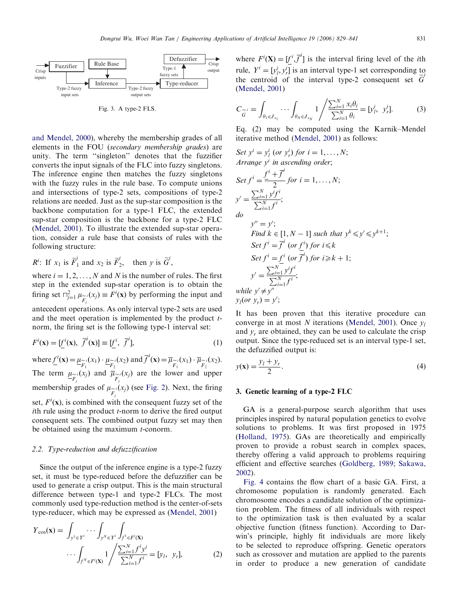<span id="page-2-0"></span>

Fig. 3. A type-2 FLS.

[and Mendel, 2000](#page-12-0)), whereby the membership grades of all elements in the FOU (secondary membership grades) are unity. The term ''singleton'' denotes that the fuzzifier converts the input signals of the FLC into fuzzy singletons. The inference engine then matches the fuzzy singletons with the fuzzy rules in the rule base. To compute unions and intersections of type-2 sets, compositions of type-2 relations are needed. Just as the sup-star composition is the backbone computation for a type-1 FLC, the extended sup-star composition is the backbone for a type-2 FLC ([Mendel, 2001](#page-12-0)). To illustrate the extended sup-star operation, consider a rule base that consists of rules with the following structure:

$$
R^i
$$
: If  $x_1$  is  $\widetilde{F}_1^i$  and  $x_2$  is  $\widetilde{F}_2^i$ , then y is  $\widetilde{G}_2^i$ ,

where  $i = 1, 2, ..., N$  and N is the number of rules. The first step in the extended sup-star operation is to obtain the firing set  $\bigcap_{j=1}^2 \mu_{\widetilde{F}_j}(x_j) \equiv F^i(\mathbf{x})$  by performing the input and antecedent operations. As only interval type-2 sets are used and the meet operation is implemented by the product  $t$ norm, the firing set is the following type-1 interval set:

$$
F^i(\mathbf{x}) = [\underline{f}^i(\mathbf{x}), \ \overline{f}^i(\mathbf{x})] \equiv [\underline{f}^i, \ \overline{f}^i], \tag{1}
$$

where  $\underline{f}^i(\mathbf{x}) = \underline{\mu}_{\widetilde{F}_1}(x_1) \cdot \underline{\mu}_{\widetilde{F}_2}(x_2)$  and  $\overline{f}^i(\mathbf{x}) = \overline{\mu}_{\widetilde{F}_1}(x_1) \cdot \overline{\mu}_{\widetilde{F}_2}(x_2)$ . The term  $\underline{\mu}_{\widetilde{F}_j}(x_j)$  and  $\overline{\mu}_{\widetilde{F}_j}(x_j)$  are the lower and upper membership grades of  $\mu_{\widetilde{F}_j}(x_j)$  (see [Fig. 2](#page-1-0)). Next, the firing set,  $F^i(\mathbf{x})$ , is combined with the consequent fuzzy set of the ith rule using the product  $t$ -norm to derive the fired output consequent sets. The combined output fuzzy set may then be obtained using the maximum  $t$ -conorm.

# 2.2. Type-reduction and defuzzification

Since the output of the inference engine is a type-2 fuzzy set, it must be type-reduced before the defuzzifier can be used to generate a crisp output. This is the main structural difference between type-1 and type-2 FLCs. The most commonly used type-reduction method is the center-of-sets type-reducer, which may be expressed as ([Mendel, 2001\)](#page-12-0)

$$
Y_{\cos}(\mathbf{x}) = \int_{y^1 \in Y^i} \cdots \int_{y^N \in Y^i} \int_{f^1 \in F^i(\mathbf{X})} f_{y^N \in F^i(\mathbf{X})} \cdots \int_{f^N \in F^i(\mathbf{X})} 1 \Bigg/ \frac{\sum_{i=1}^N f^i y^i}{\sum_{i=1}^N f^i} = [y_i, y_r], \tag{2}
$$

where  $F^{i}(\mathbf{X}) = [f^{i}, \overline{f}^{i}]$  is the interval firing level of the *i*th rule,  $Y^i = [y^i_i, y^i_j]$  is an interval type-1 set corresponding to the centroid of the interval type-2 consequent set  $G$ ([Mendel, 2001](#page-12-0))

$$
C_{\widetilde{G}} = \int_{\theta_1 \in J_{x_1}} \cdots \int_{\theta_N \in J_{x_N}} 1 / \frac{\sum_{i=1}^N x_i \theta_i}{\sum_{i=1}^N \theta_i} = [y_i^i, y_r^i].
$$
 (3)

Eq. (2) may be computed using the Karnik–Mendel iterative method ([Mendel, 2001\)](#page-12-0) as follows:

Set 
$$
y^i = y^i_l
$$
 (or  $y^i_r$ ) for  $i = 1,..., N$ ;  
\nArray  $y^i$  in ascending order;  
\nSet  $f^i = \frac{f^i + \overline{f}^i}{2}$  for  $i = 1,..., N$ ;  
\n $y' = \frac{\sum_{i=1}^N y^i f^i}{\sum_{i=1}^N f^i}$ ;  
\n $y'' = y'$ ;  
\nFind  $k \in [1, N - 1]$  such that  $y^k \le y' \le y^{k+1}$ ;  
\nSet  $f^i = \overline{f}^i$  (or  $f^i$ ) for  $i \le k$   
\nSet  $f^i = f^i$  (or  $\overline{f}^i$ ) for  $i \ge k + 1$ ;  
\n $y' = \frac{\sum_{i=1}^N y^i f^i}{\sum_{i=1}^N f^i}$ ;  
\nwhile  $y' \ne y''$   
\n $y_i$  (or  $y_r$ ) =  $y'$ ;

 $\mathcal{L}$ 

It has been proven that this iterative procedure can converge in at most  $N$  iterations ([Mendel, 2001](#page-12-0)). Once  $v_1$ and  $y_r$  are obtained, they can be used to calculate the crisp output. Since the type-reduced set is an interval type-1 set, the defuzzified output is:

$$
y(\mathbf{x}) = \frac{y_l + y_r}{2}.\tag{4}
$$

#### 3. Genetic learning of a type-2 FLC

GA is a general-purpose search algorithm that uses principles inspired by natural population genetics to evolve solutions to problems. It was first proposed in 1975 ([Holland, 1975](#page-12-0)). GAs are theoretically and empirically proven to provide a robust search in complex spaces, thereby offering a valid approach to problems requiring efficient and effective searches ([Goldberg, 1989; Sakawa,](#page-12-0) [2002](#page-12-0)).

[Fig. 4](#page-3-0) contains the flow chart of a basic GA. First, a chromosome population is randomly generated. Each chromosome encodes a candidate solution of the optimization problem. The fitness of all individuals with respect to the optimization task is then evaluated by a scalar objective function (fitness function). According to Darwin's principle, highly fit individuals are more likely to be selected to reproduce offspring. Genetic operators such as crossover and mutation are applied to the parents in order to produce a new generation of candidate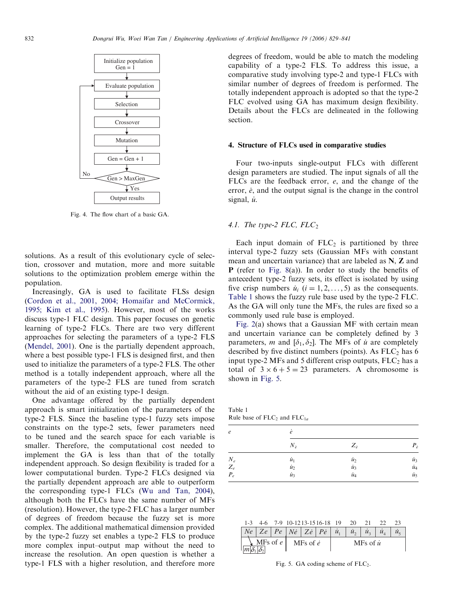<span id="page-3-0"></span>

Fig. 4. The flow chart of a basic GA.

solutions. As a result of this evolutionary cycle of selection, crossover and mutation, more and more suitable solutions to the optimization problem emerge within the population.

Increasingly, GA is used to facilitate FLSs design [\(Cordon et al., 2001, 2004; Homaifar and McCormick,](#page-12-0) [1995; Kim et al., 1995\)](#page-12-0). However, most of the works discuss type-1 FLC design. This paper focuses on genetic learning of type-2 FLCs. There are two very different approaches for selecting the parameters of a type-2 FLS [\(Mendel, 2001\)](#page-12-0). One is the partially dependent approach, where a best possible type-1 FLS is designed first, and then used to initialize the parameters of a type-2 FLS. The other method is a totally independent approach, where all the parameters of the type-2 FLS are tuned from scratch without the aid of an existing type-1 design.

One advantage offered by the partially dependent approach is smart initialization of the parameters of the type-2 FLS. Since the baseline type-1 fuzzy sets impose constraints on the type-2 sets, fewer parameters need to be tuned and the search space for each variable is smaller. Therefore, the computational cost needed to implement the GA is less than that of the totally independent approach. So design flexibility is traded for a lower computational burden. Type-2 FLCs designed via the partially dependent approach are able to outperform the corresponding type-1 FLCs [\(Wu and Tan, 2004\)](#page-12-0), although both the FLCs have the same number of MFs (resolution). However, the type-2 FLC has a larger number of degrees of freedom because the fuzzy set is more complex. The additional mathematical dimension provided by the type-2 fuzzy set enables a type-2 FLS to produce more complex input–output map without the need to increase the resolution. An open question is whether a type-1 FLS with a higher resolution, and therefore more

degrees of freedom, would be able to match the modeling capability of a type-2 FLS. To address this issue, a comparative study involving type-2 and type-1 FLCs with similar number of degrees of freedom is performed. The totally independent approach is adopted so that the type-2 FLC evolved using GA has maximum design flexibility. Details about the FLCs are delineated in the following section.

#### 4. Structure of FLCs used in comparative studies

Four two-inputs single-output FLCs with different design parameters are studied. The input signals of all the FLCs are the feedback error, e, and the change of the error,  $\dot{e}$ , and the output signal is the change in the control signal,  $\dot{u}$ .

## 4.1. The type-2 FLC,  $FLC_2$

Each input domain of  $FLC<sub>2</sub>$  is partitioned by three interval type-2 fuzzy sets (Gaussian MFs with constant mean and uncertain variance) that are labeled as N, Z and P (refer to [Fig. 8\(](#page-6-0)a)). In order to study the benefits of antecedent type-2 fuzzy sets, its effect is isolated by using five crisp numbers  $\dot{u}_i$  ( $i = 1, 2, \ldots, 5$ ) as the consequents. Table 1 shows the fuzzy rule base used by the type-2 FLC. As the GA will only tune the MFs, the rules are fixed so a commonly used rule base is employed.

[Fig. 2](#page-1-0)(a) shows that a Gaussian MF with certain mean and uncertain variance can be completely defined by 3 parameters, m and  $[\delta_1, \delta_2]$ . The MFs of u are completely described by five distinct numbers (points). As  $FLC<sub>2</sub>$  has 6 input type-2 MFs and 5 different crisp outputs,  $FLC<sub>2</sub>$  has a total of  $3 \times 6 + 5 = 23$  parameters. A chromosome is shown in Fig. 5.

Table 1 Rule base of  $FLC_2$  and  $FLC_{1a}$ 

| e                                                | ė             |               |                    |
|--------------------------------------------------|---------------|---------------|--------------------|
|                                                  | $N_{\dot{e}}$ | $Z_{\dot{e}}$ | $P_{\dot{e}}$      |
|                                                  | $\dot{u}_1$   | $\dot{u}_2$   | $\dot{u}_3$        |
|                                                  | $\dot{u}_2$   | $\dot{u}_3$   |                    |
| $\begin{array}{c} N_e \\ Z_e \\ P_e \end{array}$ | $\dot{u}_3$   | $\dot{u}_4$   | <i>і</i> і4<br>іі5 |

|  | 1-3 4-6 7-9 10-1213-1516-18 19 20 21 22 23 |  |  |  |  |
|--|--------------------------------------------|--|--|--|--|
|  |                                            |  |  |  |  |

|  | $\left  \right $ $\left  \right $ $\left  \right $ $\left  \right $ $\left  \right $ $\left  \right $ $\left  \right $ $\left  \right $ $\left  \right $ $\left  \right $ $\left  \right $ $\left  \right $ $\left  \right $ $\left  \right $ $\left  \right $ $\left  \right $ $\left  \right $ $\left  \right $ $\left  \right $ $\left  \right $ $\left  \right $ $\left  \right $ $\left  \right $ $\left  \right $ $\left  \$ |  |                  |  | $ \dot{u}_2 $ | $\dot{u}_1$  |  |
|--|------------------------------------------------------------------------------------------------------------------------------------------------------------------------------------------------------------------------------------------------------------------------------------------------------------------------------------------------------------------------------------------------------------------------------------|--|------------------|--|---------------|--------------|--|
|  | $\setminus$ MFs of e                                                                                                                                                                                                                                                                                                                                                                                                               |  | MFs of $\dot{e}$ |  |               | MFs of $\mu$ |  |

Fig. 5. GA coding scheme of  $FLC<sub>2</sub>$ .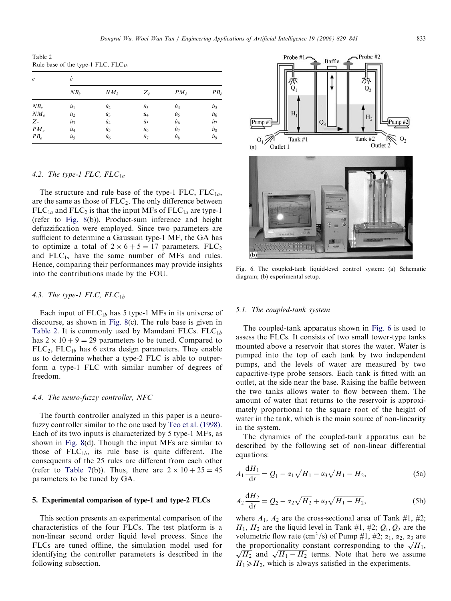Table 2 Rule base of the type-1 FLC,  $FLC_{1b}$ 

| $\epsilon$ | ė              |                |               |                |                |  |  |  |  |
|------------|----------------|----------------|---------------|----------------|----------------|--|--|--|--|
|            | $NB_{\dot{e}}$ | $NM_{\hat{e}}$ | $Z_{\dot{e}}$ | $PM_{\hat{e}}$ | $PB_{\hat{e}}$ |  |  |  |  |
| $NB_e$     | $\dot{u}_1$    | $\dot{u}_2$    | ù3            | ù4             | $\dot{u}_5$    |  |  |  |  |
| $NM_e$     | $\dot{u}_2$    | $\dot{u}_3$    | $\dot{u}_4$   | $\dot{u}_5$    | $\dot{u}_6$    |  |  |  |  |
| $Z_e$      | $\dot{u}_3$    | ù4             | $\dot{u}_5$   | ù <sub>6</sub> | $\dot{u}_7$    |  |  |  |  |
| $PM_e$     | ù4             | $\dot{u}_5$    | $\dot{u}_6$   | $\dot{u}_7$    | $\dot{u}_8$    |  |  |  |  |
| $PB_e$     | ù5             | ù <sub>6</sub> | ù7            | $\dot{u}_8$    | ii9            |  |  |  |  |

# 4.2. The type-1 FLC,  $FLC_{1a}$

The structure and rule base of the type-1 FLC,  $FLC_{1a}$ , are the same as those of  $FLC<sub>2</sub>$ . The only difference between  $FLC_{1a}$  and  $FLC_2$  is that the input MFs of  $FLC_{1a}$  are type-1 (refer to [Fig. 8\(](#page-6-0)b)). Product-sum inference and height defuzzification were employed. Since two parameters are sufficient to determine a Gaussian type-1 MF, the GA has to optimize a total of  $2 \times 6 + 5 = 17$  parameters. FLC<sub>2</sub> and  $FLC_{1a}$  have the same number of MFs and rules. Hence, comparing their performances may provide insights into the contributions made by the FOU.

#### 4.3. The type-1 FLC,  $FLC_{1b}$

Each input of  $FLC_{1b}$  has 5 type-1 MFs in its universe of discourse, as shown in [Fig. 8](#page-6-0)(c). The rule base is given in Table 2. It is commonly used by Mamdani FLCs.  $FLC_{1b}$ has  $2 \times 10 + 9 = 29$  parameters to be tuned. Compared to  $FLC<sub>2</sub>$ ,  $FLC<sub>1b</sub>$  has 6 extra design parameters. They enable us to determine whether a type-2 FLC is able to outperform a type-1 FLC with similar number of degrees of freedom.

## 4.4. The neuro-fuzzy controller, NFC

The fourth controller analyzed in this paper is a neurofuzzy controller similar to the one used by [Teo et al. \(1998\).](#page-12-0) Each of its two inputs is characterized by 5 type-1 MFs, as shown in [Fig. 8\(](#page-6-0)d). Though the input MFs are similar to those of  $FLC_{1b}$ , its rule base is quite different. The consequents of the 25 rules are different from each other (refer to [Table 7\(](#page-7-0)b)). Thus, there are  $2 \times 10 + 25 = 45$ parameters to be tuned by GA.

#### 5. Experimental comparison of type-1 and type-2 FLCs

This section presents an experimental comparison of the characteristics of the four FLCs. The test platform is a non-linear second order liquid level process. Since the FLCs are tuned offline, the simulation model used for identifying the controller parameters is described in the following subsection.



Fig. 6. The coupled-tank liquid-level control system: (a) Schematic diagram; (b) experimental setup.

## 5.1. The coupled-tank system

The coupled-tank apparatus shown in Fig. 6 is used to assess the FLCs. It consists of two small tower-type tanks mounted above a reservoir that stores the water. Water is pumped into the top of each tank by two independent pumps, and the levels of water are measured by two capacitive-type probe sensors. Each tank is fitted with an outlet, at the side near the base. Raising the baffle between the two tanks allows water to flow between them. The amount of water that returns to the reservoir is approximately proportional to the square root of the height of water in the tank, which is the main source of non-linearity in the system.

The dynamics of the coupled-tank apparatus can be described by the following set of non-linear differential equations:

$$
A_1 \frac{dH_1}{dt} = Q_1 - \alpha_1 \sqrt{H_1} - \alpha_3 \sqrt{H_1 - H_2},
$$
 (5a)

$$
A_2 \frac{dH_2}{dt} = Q_2 - \alpha_2 \sqrt{H_2} + \alpha_3 \sqrt{H_1 - H_2},
$$
 (5b)

where  $A_1$ ,  $A_2$  are the cross-sectional area of Tank #1, #2;  $H_1$ ,  $H_2$  are the liquid level in Tank #1, #2;  $Q_1$ ,  $Q_2$  are the volumetric flow rate (cm<sup>3</sup>/s) of Pump #1, #2;  $\alpha_1$ ,  $\alpha_2$ ,  $\alpha_3$  are the proportionality constant corresponding to the  $\sqrt{H_1}$ ,  $\sqrt{H_1}$  and  $\sqrt{H_1}$  terms. Note that here we assume the proportionality constant corresponding to the  $\sqrt{H_1}$ ,  $\sqrt{H_2}$  and  $\sqrt{H_1 - H_2}$  terms. Note that here we assume  $H_1 \ge H_2$ , which is always satisfied in the experiments.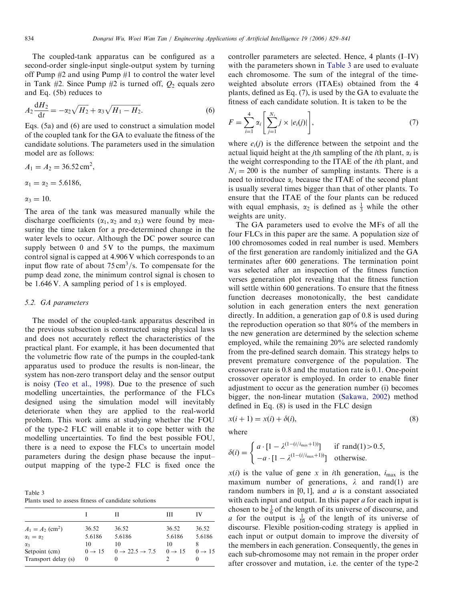The coupled-tank apparatus can be configured as a second-order single-input single-output system by turning off Pump  $#2$  and using Pump  $#1$  to control the water level in Tank #2. Since Pump #2 is turned off,  $Q_2$  equals zero and Eq. (5b) reduces to

$$
A_2 \frac{dH_2}{dt} = -\alpha_2 \sqrt{H_2} + \alpha_3 \sqrt{H_1 - H_2}.
$$
 (6)

Eqs. (5a) and (6) are used to construct a simulation model of the coupled tank for the GA to evaluate the fitness of the candidate solutions. The parameters used in the simulation model are as follows:

$$
A_1 = A_2 = 36.52 \text{ cm}^2,
$$
  
\n
$$
\alpha_1 = \alpha_2 = 5.6186,
$$
  
\n
$$
\alpha_3 = 10.
$$

The area of the tank was measured manually while the discharge coefficients ( $\alpha_1, \alpha_2$  and  $\alpha_3$ ) were found by measuring the time taken for a pre-determined change in the water levels to occur. Although the DC power source can supply between  $0$  and  $5V$  to the pumps, the maximum control signal is capped at 4.906 V which corresponds to an input flow rate of about  $75 \text{ cm}^3/\text{s}$ . To compensate for the pump dead zone, the minimum control signal is chosen to be 1.646 V. A sampling period of 1 s is employed.

## 5.2. GA parameters

The model of the coupled-tank apparatus described in the previous subsection is constructed using physical laws and does not accurately reflect the characteristics of the practical plant. For example, it has been documented that the volumetric flow rate of the pumps in the coupled-tank apparatus used to produce the results is non-linear, the system has non-zero transport delay and the sensor output is noisy [\(Teo et al., 1998\)](#page-12-0). Due to the presence of such modelling uncertainties, the performance of the FLCs designed using the simulation model will inevitably deteriorate when they are applied to the real-world problem. This work aims at studying whether the FOU of the type-2 FLC will enable it to cope better with the modelling uncertainties. To find the best possible FOU, there is a need to expose the FLCs to uncertain model parameters during the design phase because the input– output mapping of the type-2 FLC is fixed once the

| Table 3 |  |  |                                                      |  |
|---------|--|--|------------------------------------------------------|--|
|         |  |  | Plants used to assess fitness of candidate solutions |  |

|                                |                    | Н                                    | Ш                  | IV                 |
|--------------------------------|--------------------|--------------------------------------|--------------------|--------------------|
| $A_1 = A_2$ (cm <sup>2</sup> ) | 36.52              | 36.52                                | 36.52              | 36.52              |
| $\alpha_1 = \alpha_2$          | 5.6186             | 5.6186                               | 5.6186             | 5.6186             |
| $\alpha$ 3                     | 10                 | 10                                   | 10                 | 8                  |
| Setpoint (cm)                  | $0 \rightarrow 15$ | $0 \rightarrow 22.5 \rightarrow 7.5$ | $0 \rightarrow 15$ | $0 \rightarrow 15$ |
| Transport delay (s)            | $\theta$           | $\theta$                             |                    |                    |

controller parameters are selected. Hence, 4 plants (I–IV) with the parameters shown in Table 3 are used to evaluate each chromosome. The sum of the integral of the timeweighted absolute errors (ITAEs) obtained from the 4 plants, defined as Eq. (7), is used by the GA to evaluate the fitness of each candidate solution. It is taken to be the

$$
F = \sum_{i=1}^{4} \alpha_i \left[ \sum_{j=1}^{N_i} j \times |e_i(j)| \right],
$$
 (7)

where  $e_i(j)$  is the difference between the setpoint and the actual liquid height at the *j*th sampling of the *i*th plant,  $\alpha_i$  is the weight corresponding to the ITAE of the ith plant, and  $N_i = 200$  is the number of sampling instants. There is a need to introduce  $\alpha_i$  because the ITAE of the second plant is usually several times bigger than that of other plants. To ensure that the ITAE of the four plants can be reduced with equal emphasis,  $\alpha_2$  is defined as  $\frac{1}{3}$  while the other weights are unity.

The GA parameters used to evolve the MFs of all the four FLCs in this paper are the same. A population size of 100 chromosomes coded in real number is used. Members of the first generation are randomly initialized and the GA terminates after 600 generations. The termination point was selected after an inspection of the fitness function verses generation plot revealing that the fitness function will settle within 600 generations. To ensure that the fitness function decreases monotonically, the best candidate solution in each generation enters the next generation directly. In addition, a generation gap of 0.8 is used during the reproduction operation so that 80% of the members in the new generation are determined by the selection scheme employed, while the remaining 20% are selected randomly from the pre-defined search domain. This strategy helps to prevent premature convergence of the population. The crossover rate is 0.8 and the mutation rate is 0.1. One-point crossover operator is employed. In order to enable finer adjustment to occur as the generation number (i) becomes bigger, the non-linear mutation ([Sakawa, 2002\)](#page-12-0) method defined in Eq. (8) is used in the FLC design

$$
x(i + 1) = x(i) + \delta(i),\tag{8}
$$

where

$$
\delta(i) = \begin{cases} a \cdot [1 - \lambda^{(1 - (i/i_{\max} + 1))}] & \text{if } \text{rand}(1) > 0.5, \\ -a \cdot [1 - \lambda^{(1 - (i/i_{\max} + 1))}] & \text{otherwise.} \end{cases}
$$

 $x(i)$  is the value of gene x in ith generation,  $i_{\text{max}}$  is the maximum number of generations,  $\lambda$  and rand(1) are random numbers in  $[0, 1]$ , and a is a constant associated with each input and output. In this paper  $a$  for each input is chosen to be  $\frac{1}{6}$  of the length of its universe of discourse, and *a* for the output is  $\frac{1}{10}$  of the length of its universe of discourse. Flexible position-coding strategy is applied in each input or output domain to improve the diversity of the members in each generation. Consequently, the genes in each sub-chromosome may not remain in the proper order after crossover and mutation, i.e. the center of the type-2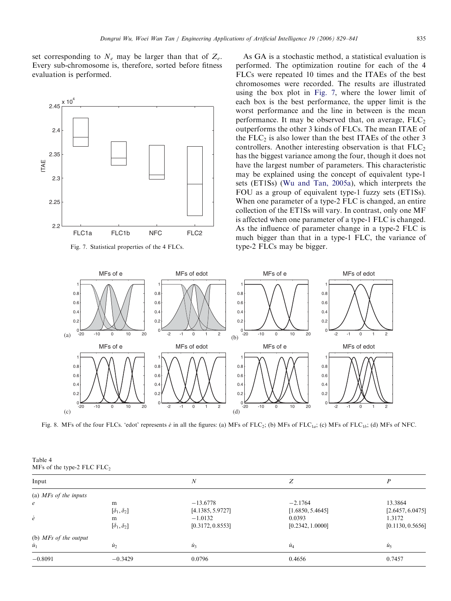<span id="page-6-0"></span>set corresponding to  $N_e$  may be larger than that of  $Z_e$ . Every sub-chromosome is, therefore, sorted before fitness evaluation is performed.





As GA is a stochastic method, a statistical evaluation is performed. The optimization routine for each of the 4 FLCs were repeated 10 times and the ITAEs of the best chromosomes were recorded. The results are illustrated using the box plot in Fig. 7, where the lower limit of each box is the best performance, the upper limit is the worst performance and the line in between is the mean performance. It may be observed that, on average,  $FLC<sub>2</sub>$ outperforms the other 3 kinds of FLCs. The mean ITAE of the  $FLC<sub>2</sub>$  is also lower than the best ITAEs of the other 3 controllers. Another interesting observation is that  $FLC<sub>2</sub>$ has the biggest variance among the four, though it does not have the largest number of parameters. This characteristic may be explained using the concept of equivalent type-1 sets (ET1Ss) ([Wu and Tan, 2005a\)](#page-12-0), which interprets the FOU as a group of equivalent type-1 fuzzy sets (ET1Ss). When one parameter of a type-2 FLC is changed, an entire collection of the ET1Ss will vary. In contrast, only one MF is affected when one parameter of a type-1 FLC is changed. As the influence of parameter change in a type-2 FLC is much bigger than that in a type-1 FLC, the variance of type-2 FLCs may be bigger.



Fig. 8. MFs of the four FLCs. 'edot' represents  $\dot{e}$  in all the figures: (a) MFs of FLC<sub>2</sub>; (b) MFs of FLC<sub>1a</sub>; (c) MFs of FLC<sub>1b</sub>; (d) MFs of NFC.

| Table 4 |                              |
|---------|------------------------------|
|         | MFs of the type-2 FLC $FLC2$ |

| Input                   |                                  | $\boldsymbol{N}$                            | Z                                       |                                       |
|-------------------------|----------------------------------|---------------------------------------------|-----------------------------------------|---------------------------------------|
| (a) $MFs$ of the inputs |                                  |                                             |                                         |                                       |
| $\epsilon$<br>ė         | m<br>$[\delta_1, \delta_2]$<br>m | $-13.6778$<br>[4.1385, 5.9727]<br>$-1.0132$ | $-2.1764$<br>[1.6850, 5.4645]<br>0.0393 | 13.3864<br>[2.6457, 6.0475]<br>1.3172 |
|                         | $[\delta_1, \delta_2]$           | [0.3172, 0.8553]                            | [0.2342, 1.0000]                        | [0.1130, 0.5656]                      |
| (b) $MFs$ of the output |                                  |                                             |                                         |                                       |
| $\dot{u}_1$             | $\dot{u}_2$                      | $\dot{u}_3$                                 | $\overline{u}_4$                        | $\dot{u}_5$                           |
| $-0.8091$               | $-0.3429$                        | 0.0796                                      | 0.4656                                  | 0.7457                                |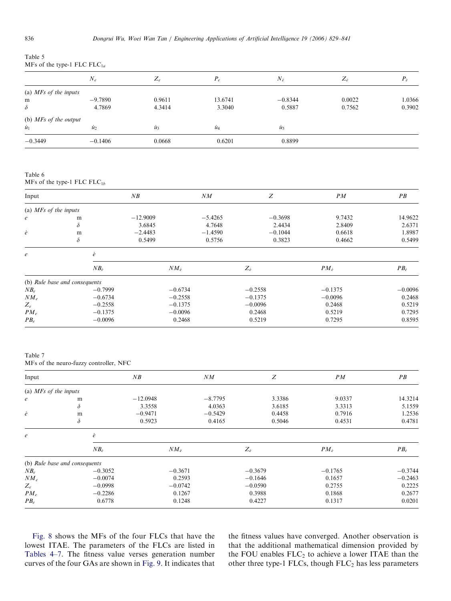<span id="page-7-0"></span>

| Table 5                           |  |
|-----------------------------------|--|
| MFs of the type-1 FLC FLC $_{1a}$ |  |

|                         | $N_e$       | $Z_e$       | $P_e$       | $N_{\dot{e}}$ | $Z_{\varepsilon}$ | $P_{\dot{e}}$ |
|-------------------------|-------------|-------------|-------------|---------------|-------------------|---------------|
| (a) $MFs$ of the inputs |             |             |             |               |                   |               |
| m                       | $-9.7890$   | 0.9611      | 13.6741     | $-0.8344$     | 0.0022            | 1.0366        |
| $\delta$                | 4.7869      | 4.3414      | 3.3040      | 0.5887        | 0.7562            | 0.3902        |
| (b) $MFs$ of the output |             |             |             |               |                   |               |
| $\dot{u}_1$             | $\dot{u}_2$ | $\dot{u}_3$ | $\dot{u}_4$ | $\dot{u}_5$   |                   |               |
| $-0.3449$               | $-0.1406$   | 0.0668      | 0.6201      | 0.8899        |                   |               |

Table 6

MFs of the type-1 FLC  $FLC_{1b}$ 

| Input                   |                               | NB         |                | NM        | Z             | PM             | PB             |
|-------------------------|-------------------------------|------------|----------------|-----------|---------------|----------------|----------------|
| (a) $MFs$ of the inputs |                               |            |                |           |               |                |                |
| $\boldsymbol{e}$        | m                             | $-12.9009$ |                | $-5.4265$ | $-0.3698$     | 9.7432         | 14.9622        |
|                         | $\delta$                      | 3.6845     |                | 4.7648    | 2.4434        | 2.8409         | 2.6371         |
| ė                       | m                             | $-2.4483$  |                | $-1.4590$ | $-0.1044$     | 0.6618         | 1.8987         |
|                         | $\delta$                      | 0.5499     |                | 0.5756    | 0.3823        | 0.4662         | 0.5499         |
| $\boldsymbol{e}$        | ė                             |            |                |           |               |                |                |
|                         | $NB_{\hat{e}}$                |            | $NM_{\hat{e}}$ |           | $Z_{\dot{e}}$ | $PM_{\dot{e}}$ | $PB_{\hat{e}}$ |
|                         | (b) Rule base and consequents |            |                |           |               |                |                |
| $NB_e$                  | $-0.7999$                     |            | $-0.6734$      |           | $-0.2558$     | $-0.1375$      | $-0.0096$      |
| $NM_e$                  | $-0.6734$                     |            | $-0.2558$      |           | $-0.1375$     | $-0.0096$      | 0.2468         |
| $Z_e$                   | $-0.2558$                     |            | $-0.1375$      |           | $-0.0096$     | 0.2468         | 0.5219         |
| $PM_e$                  | $-0.1375$                     |            | $-0.0096$      |           | 0.2468        | 0.5219         | 0.7295         |
| $PB_e$                  | $-0.0096$                     |            | 0.2468         |           | 0.5219        | 0.7295         | 0.8595         |

Table 7

MFs of the neuro-fuzzy controller, NFC

| Input                   |                               | NB         | NM             | Z             | PM             | PB          |
|-------------------------|-------------------------------|------------|----------------|---------------|----------------|-------------|
| (a) $MFs$ of the inputs |                               |            |                |               |                |             |
| $\epsilon$              | m                             | $-12.0948$ | $-8.7795$      | 3.3386        | 9.0337         | 14.3214     |
|                         | $\delta$                      | 3.3558     | 4.0363         | 3.6185        | 3.3313         | 5.1559      |
| ė                       | m                             | $-0.9471$  | $-0.5429$      | 0.4458        | 0.7916         | 1.2536      |
|                         | $\delta$                      | 0.5923     | 0.4165         | 0.5046        | 0.4531         | 0.4781      |
| $\boldsymbol{e}$        | ė                             |            |                |               |                |             |
|                         | $NB_{\phi}$                   |            | $NM_{\dot{e}}$ | $Z_{\dot{e}}$ | $PM_{\hat{e}}$ | $PB_{\rho}$ |
|                         | (b) Rule base and consequents |            |                |               |                |             |
| $NB_e$                  | $-0.3052$                     |            | $-0.3671$      | $-0.3679$     | $-0.1765$      | $-0.3744$   |
| $NM_e$                  | $-0.0074$                     |            | 0.2593         | $-0.1646$     | 0.1657         | $-0.2463$   |
| $Z_e$                   | $-0.0998$                     |            | $-0.0742$      | $-0.0590$     | 0.2755         | 0.2225      |
| $PM_e$                  | $-0.2286$                     |            | 0.1267         | 0.3988        | 0.1868         | 0.2677      |
| $PB_e$                  | 0.6778                        |            | 0.1248         | 0.4227        | 0.1317         | 0.0201      |

[Fig. 8](#page-6-0) shows the MFs of the four FLCs that have the lowest ITAE. The parameters of the FLCs are listed in [Tables 4–7.](#page-6-0) The fitness value verses generation number curves of the four GAs are shown in [Fig. 9](#page-8-0). It indicates that the fitness values have converged. Another observation is that the additional mathematical dimension provided by the FOU enables  $FLC_2$  to achieve a lower ITAE than the other three type-1 FLCs, though  $FLC_2$  has less parameters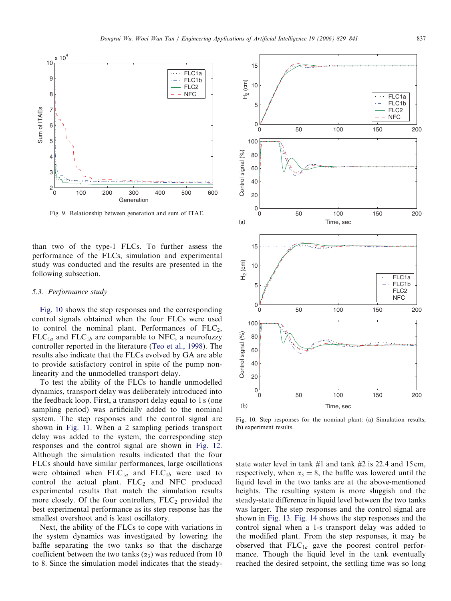<span id="page-8-0"></span>

Fig. 9. Relationship between generation and sum of ITAE.

than two of the type-1 FLCs. To further assess the performance of the FLCs, simulation and experimental study was conducted and the results are presented in the following subsection.

#### 5.3. Performance study

Fig. 10 shows the step responses and the corresponding control signals obtained when the four FLCs were used to control the nominal plant. Performances of  $FLC<sub>2</sub>$ ,  $FLC_{1a}$  and  $FLC_{1b}$  are comparable to NFC, a neurofuzzy controller reported in the literature ([Teo et al., 1998\)](#page-12-0). The results also indicate that the FLCs evolved by GA are able to provide satisfactory control in spite of the pump nonlinearity and the unmodelled transport delay.

To test the ability of the FLCs to handle unmodelled dynamics, transport delay was deliberately introduced into the feedback loop. First, a transport delay equal to 1 s (one sampling period) was artificially added to the nominal system. The step responses and the control signal are shown in [Fig. 11.](#page-9-0) When a 2 sampling periods transport delay was added to the system, the corresponding step responses and the control signal are shown in [Fig. 12.](#page-9-0) Although the simulation results indicated that the four FLCs should have similar performances, large oscillations were obtained when  $FLC_{1a}$  and  $FLC_{1b}$  were used to control the actual plant.  $FLC<sub>2</sub>$  and NFC produced experimental results that match the simulation results more closely. Of the four controllers,  $FLC<sub>2</sub>$  provided the best experimental performance as its step response has the smallest overshoot and is least oscillatory.

Next, the ability of the FLCs to cope with variations in the system dynamics was investigated by lowering the baffle separating the two tanks so that the discharge coefficient between the two tanks  $(\alpha_3)$  was reduced from 10 to 8. Since the simulation model indicates that the steady-



Fig. 10. Step responses for the nominal plant: (a) Simulation results; (b) experiment results.

state water level in tank  $#1$  and tank  $#2$  is 22.4 and 15 cm, respectively, when  $\alpha_3 = 8$ , the baffle was lowered until the liquid level in the two tanks are at the above-mentioned heights. The resulting system is more sluggish and the steady-state difference in liquid level between the two tanks was larger. The step responses and the control signal are shown in [Fig. 13](#page-10-0). [Fig. 14](#page-10-0) shows the step responses and the control signal when a 1-s transport delay was added to the modified plant. From the step responses, it may be observed that  $FLC_{1a}$  gave the poorest control performance. Though the liquid level in the tank eventually reached the desired setpoint, the settling time was so long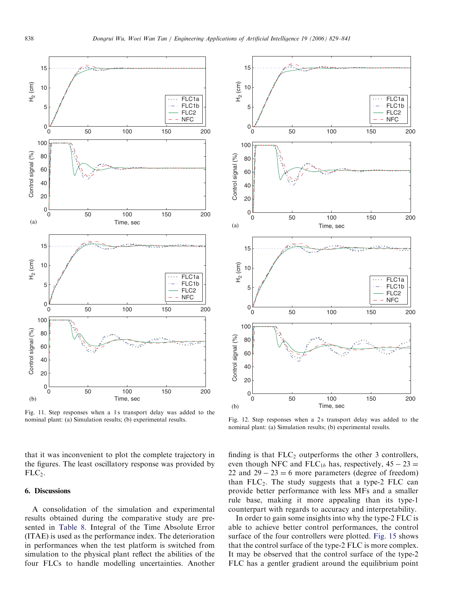<span id="page-9-0"></span>

Fig. 11. Step responses when a 1 s transport delay was added to the nominal plant: (a) Simulation results; (b) experimental results.

that it was inconvenient to plot the complete trajectory in the figures. The least oscillatory response was provided by  $FLC<sub>2</sub>$ .

## 6. Discussions

A consolidation of the simulation and experimental results obtained during the comparative study are presented in [Table 8.](#page-11-0) Integral of the Time Absolute Error (ITAE) is used as the performance index. The deterioration in performances when the test platform is switched from simulation to the physical plant reflect the abilities of the four FLCs to handle modelling uncertainties. Another



Fig. 12. Step responses when a 2s transport delay was added to the nominal plant: (a) Simulation results; (b) experimental results.

finding is that  $FLC<sub>2</sub>$  outperforms the other 3 controllers, even though NFC and FLC<sub>1b</sub> has, respectively,  $45 - 23 =$ 22 and  $29 - 23 = 6$  more parameters (degree of freedom) than  $FLC<sub>2</sub>$ . The study suggests that a type-2 FLC can provide better performance with less MFs and a smaller rule base, making it more appealing than its type-1 counterpart with regards to accuracy and interpretability.

In order to gain some insights into why the type-2 FLC is able to achieve better control performances, the control surface of the four controllers were plotted. [Fig. 15](#page-11-0) shows that the control surface of the type-2 FLC is more complex. It may be observed that the control surface of the type-2 FLC has a gentler gradient around the equilibrium point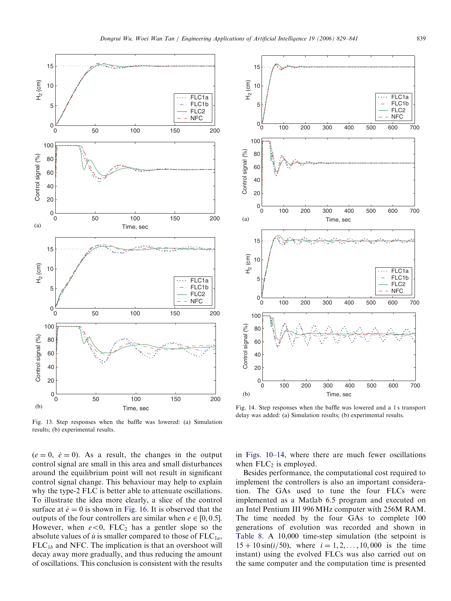<span id="page-10-0"></span>



Fig. 13. Step responses when the baffle was lowered: (a) Simulation results; (b) experimental results.

 $(e = 0, \dot{e} = 0)$ . As a result, the changes in the output control signal are small in this area and small disturbances around the equilibrium point will not result in significant control signal change. This behaviour may help to explain why the type-2 FLC is better able to attenuate oscillations. To illustrate the idea more clearly, a slice of the control surface at  $\dot{e} = 0$  is shown in [Fig. 16.](#page-12-0) It is observed that the outputs of the four controllers are similar when  $e \in [0, 0.5]$ . However, when  $e < 0$ , FLC<sub>2</sub> has a gentler slope so the absolute values of  $\dot{u}$  is smaller compared to those of FLC<sub>1a</sub>,  $FLC<sub>1b</sub>$  and NFC. The implication is that an overshoot will decay away more gradually, and thus reducing the amount of oscillations. This conclusion is consistent with the results

Fig. 14. Step responses when the baffle was lowered and a 1 s transport delay was added: (a) Simulation results; (b) experimental results.

in [Figs. 10–](#page-8-0)14, where there are much fewer oscillations when  $FLC<sub>2</sub>$  is employed.

Besides performance, the computational cost required to implement the controllers is also an important consideration. The GAs used to tune the four FLCs were implemented as a Matlab 6.5 program and executed on an Intel Pentium III 996 MHz computer with 256M RAM. The time needed by the four GAs to complete 100 generations of evolution was recorded and shown in [Table 8](#page-11-0). A 10,000 time-step simulation (the setpoint is  $15 + 10 \sin(i/50)$ , where  $i = 1, 2, ..., 10,000$  is the time instant) using the evolved FLCs was also carried out on the same computer and the computation time is presented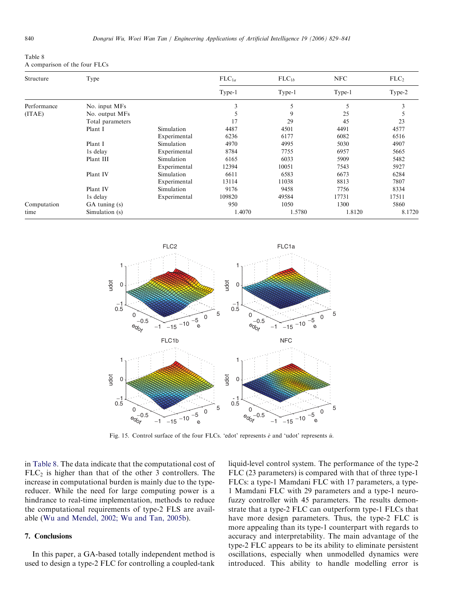<span id="page-11-0"></span>Table 8 A comparison of the four FLCs

| Structure   | Type              |              | $FLC_{1a}$<br>Type-1 | $FLC_{1b}$<br>Type-1 | <b>NFC</b><br>Type-1 | FLC <sub>2</sub><br>Type-2 |
|-------------|-------------------|--------------|----------------------|----------------------|----------------------|----------------------------|
|             |                   |              |                      |                      |                      |                            |
| Performance | No. input MFs     |              | 3                    |                      | 5                    |                            |
| (ITAE)      | No. output MFs    |              |                      | 9                    | 25                   |                            |
|             | Total parameters  |              | 17                   | 29                   | 45                   | 23                         |
|             | Plant I           | Simulation   | 4487                 | 4501                 | 4491                 | 4577                       |
|             |                   | Experimental | 6236                 | 6177                 | 6082                 | 6516                       |
|             | Plant I           | Simulation   | 4970                 | 4995                 | 5030                 | 4907                       |
|             | 1s delay          | Experimental | 8784                 | 7755                 | 6957                 | 5665                       |
|             | Plant III         | Simulation   | 6165                 | 6033                 | 5909                 | 5482                       |
|             |                   | Experimental | 12394                | 10051                | 7543                 | 5927                       |
|             | Plant IV          | Simulation   | 6611                 | 6583                 | 6673                 | 6284                       |
|             |                   | Experimental | 13114                | 11038                | 8813                 | 7807                       |
|             | Plant IV          | Simulation   | 9176                 | 9458                 | 7756                 | 8334                       |
|             | 1s delay          | Experimental | 109820               | 49584                | 17731                | 17511                      |
| Computation | $GA$ tuning $(s)$ |              | 950                  | 1050                 | 1300                 | 5860                       |
| time        | Simulation (s)    |              | 1.4070               | 1.5780               | 1.8120               | 8.1720                     |



Fig. 15. Control surface of the four FLCs. 'edot' represents  $\dot{e}$  and 'udot' represents  $\dot{u}$ .

in Table 8. The data indicate that the computational cost of  $FLC<sub>2</sub>$  is higher than that of the other 3 controllers. The increase in computational burden is mainly due to the typereducer. While the need for large computing power is a hindrance to real-time implementation, methods to reduce the computational requirements of type-2 FLS are available ([Wu and Mendel, 2002; Wu and Tan, 2005b\)](#page-12-0).

# 7. Conclusions

In this paper, a GA-based totally independent method is used to design a type-2 FLC for controlling a coupled-tank

liquid-level control system. The performance of the type-2 FLC (23 parameters) is compared with that of three type-1 FLCs: a type-1 Mamdani FLC with 17 parameters, a type-1 Mamdani FLC with 29 parameters and a type-1 neurofuzzy controller with 45 parameters. The results demonstrate that a type-2 FLC can outperform type-1 FLCs that have more design parameters. Thus, the type-2 FLC is more appealing than its type-1 counterpart with regards to accuracy and interpretability. The main advantage of the type-2 FLC appears to be its ability to eliminate persistent oscillations, especially when unmodelled dynamics were introduced. This ability to handle modelling error is